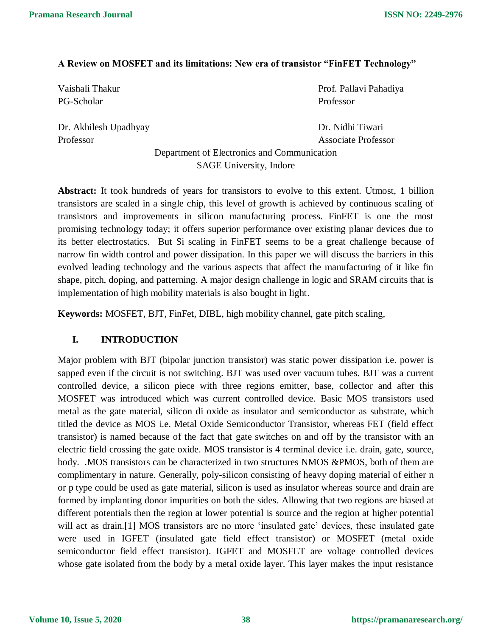## **A Review on MOSFET and its limitations: New era of transistor "FinFET Technology"**

PG-Scholar Professor

Dr. Akhilesh Upadhyay Dr. Nidhi Tiwari Professor Associate Professor

Vaishali Thakur Prof. Pallavi Pahadiya

Department of Electronics and Communication SAGE University, Indore

**Abstract:** It took hundreds of years for transistors to evolve to this extent. Utmost, 1 billion transistors are scaled in a single chip, this level of growth is achieved by continuous scaling of transistors and improvements in silicon manufacturing process. FinFET is one the most promising technology today; it offers superior performance over existing planar devices due to its better electrostatics. But Si scaling in FinFET seems to be a great challenge because of narrow fin width control and power dissipation. In this paper we will discuss the barriers in this evolved leading technology and the various aspects that affect the manufacturing of it like fin shape, pitch, doping, and patterning. A major design challenge in logic and SRAM circuits that is implementation of high mobility materials is also bought in light.

**Keywords:** MOSFET, BJT, FinFet, DIBL, high mobility channel, gate pitch scaling,

# **I. INTRODUCTION**

Major problem with BJT (bipolar junction transistor) was static power dissipation i.e. power is sapped even if the circuit is not switching. BJT was used over vacuum tubes. BJT was a current controlled device, a silicon piece with three regions emitter, base, collector and after this MOSFET was introduced which was current controlled device. Basic MOS transistors used metal as the gate material, silicon di oxide as insulator and semiconductor as substrate, which titled the device as MOS i.e. Metal Oxide Semiconductor Transistor, whereas FET (field effect transistor) is named because of the fact that gate switches on and off by the transistor with an electric field crossing the gate oxide. MOS transistor is 4 terminal device i.e. drain, gate, source, body. .MOS transistors can be characterized in two structures NMOS &PMOS, both of them are complimentary in nature. Generally, poly-silicon consisting of heavy doping material of either n or p type could be used as gate material, silicon is used as insulator whereas source and drain are formed by implanting donor impurities on both the sides. Allowing that two regions are biased at different potentials then the region at lower potential is source and the region at higher potential will act as drain.<sup>[1]</sup> MOS transistors are no more 'insulated gate' devices, these insulated gate were used in IGFET (insulated gate field effect transistor) or MOSFET (metal oxide semiconductor field effect transistor). IGFET and MOSFET are voltage controlled devices whose gate isolated from the body by a metal oxide layer. This layer makes the input resistance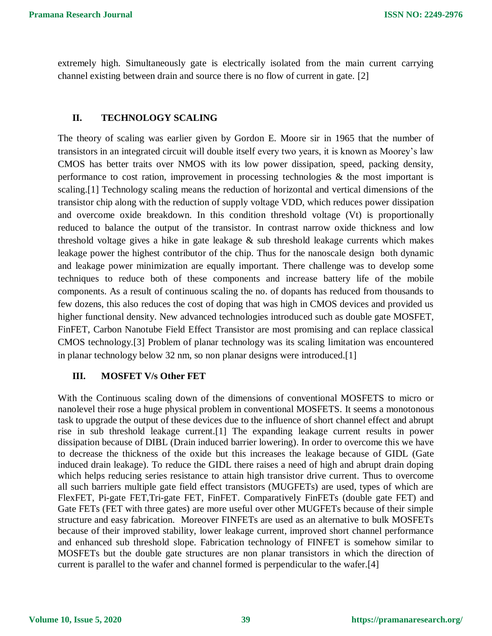extremely high. Simultaneously gate is electrically isolated from the main current carrying channel existing between drain and source there is no flow of current in gate. [2]

### **II. TECHNOLOGY SCALING**

The theory of scaling was earlier given by Gordon E. Moore sir in 1965 that the number of transistors in an integrated circuit will double itself every two years, it is known as Moorey's law CMOS has better traits over NMOS with its low power dissipation, speed, packing density, performance to cost ration, improvement in processing technologies & the most important is scaling.[1] Technology scaling means the reduction of horizontal and vertical dimensions of the transistor chip along with the reduction of supply voltage VDD, which reduces power dissipation and overcome oxide breakdown. In this condition threshold voltage (Vt) is proportionally reduced to balance the output of the transistor. In contrast narrow oxide thickness and low threshold voltage gives a hike in gate leakage  $\&$  sub threshold leakage currents which makes leakage power the highest contributor of the chip. Thus for the nanoscale design both dynamic and leakage power minimization are equally important. There challenge was to develop some techniques to reduce both of these components and increase battery life of the mobile components. As a result of continuous scaling the no. of dopants has reduced from thousands to few dozens, this also reduces the cost of doping that was high in CMOS devices and provided us higher functional density. New advanced technologies introduced such as double gate MOSFET, FinFET, Carbon Nanotube Field Effect Transistor are most promising and can replace classical CMOS technology.[3] Problem of planar technology was its scaling limitation was encountered in planar technology below 32 nm, so non planar designs were introduced.[1]

### **III. MOSFET V/s Other FET**

With the Continuous scaling down of the dimensions of conventional MOSFETS to micro or nanolevel their rose a huge physical problem in conventional MOSFETS. It seems a monotonous task to upgrade the output of these devices due to the influence of short channel effect and abrupt rise in sub threshold leakage current.[1] The expanding leakage current results in power dissipation because of DIBL (Drain induced barrier lowering). In order to overcome this we have to decrease the thickness of the oxide but this increases the leakage because of GIDL (Gate induced drain leakage). To reduce the GIDL there raises a need of high and abrupt drain doping which helps reducing series resistance to attain high transistor drive current. Thus to overcome all such barriers multiple gate field effect transistors (MUGFETs) are used, types of which are FlexFET, Pi-gate FET,Tri-gate FET, FinFET. Comparatively FinFETs (double gate FET) and Gate FETs (FET with three gates) are more useful over other MUGFETs because of their simple structure and easy fabrication. Moreover FINFETs are used as an alternative to bulk MOSFETs because of their improved stability, lower leakage current, improved short channel performance and enhanced sub threshold slope. Fabrication technology of FINFET is somehow similar to MOSFETs but the double gate structures are non planar transistors in which the direction of current is parallel to the wafer and channel formed is perpendicular to the wafer.[4]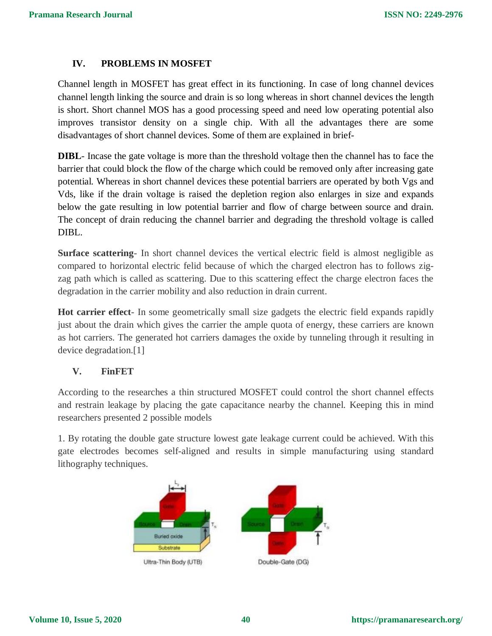# **IV. PROBLEMS IN MOSFET**

Channel length in MOSFET has great effect in its functioning. In case of long channel devices channel length linking the source and drain is so long whereas in short channel devices the length is short. Short channel MOS has a good processing speed and need low operating potential also improves transistor density on a single chip. With all the advantages there are some disadvantages of short channel devices. Some of them are explained in brief-

**DIBL**- Incase the gate voltage is more than the threshold voltage then the channel has to face the barrier that could block the flow of the charge which could be removed only after increasing gate potential. Whereas in short channel devices these potential barriers are operated by both Vgs and Vds, like if the drain voltage is raised the depletion region also enlarges in size and expands below the gate resulting in low potential barrier and flow of charge between source and drain. The concept of drain reducing the channel barrier and degrading the threshold voltage is called DIBL.

**Surface scattering**- In short channel devices the vertical electric field is almost negligible as compared to horizontal electric felid because of which the charged electron has to follows zigzag path which is called as scattering. Due to this scattering effect the charge electron faces the degradation in the carrier mobility and also reduction in drain current.

**Hot carrier effect**- In some geometrically small size gadgets the electric field expands rapidly just about the drain which gives the carrier the ample quota of energy, these carriers are known as hot carriers. The generated hot carriers damages the oxide by tunneling through it resulting in device degradation.[1]

### **V. FinFET**

According to the researches a thin structured MOSFET could control the short channel effects and restrain leakage by placing the gate capacitance nearby the channel. Keeping this in mind researchers presented 2 possible models

1. By rotating the double gate structure lowest gate leakage current could be achieved. With this gate electrodes becomes self-aligned and results in simple manufacturing using standard lithography techniques.

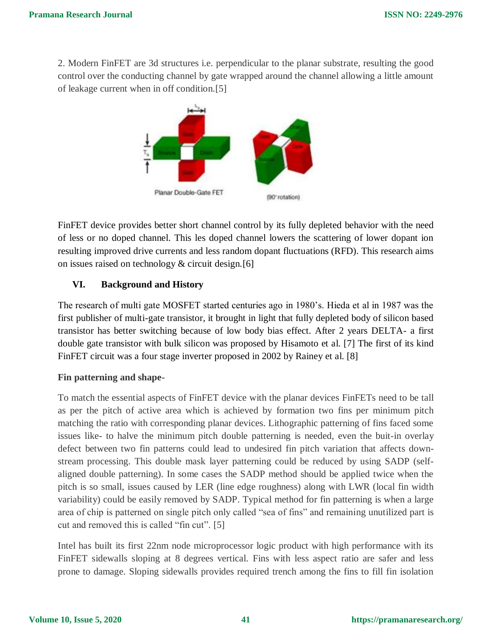2. Modern FinFET are 3d structures i.e. perpendicular to the planar substrate, resulting the good control over the conducting channel by gate wrapped around the channel allowing a little amount of leakage current when in off condition.[5]



FinFET device provides better short channel control by its fully depleted behavior with the need of less or no doped channel. This les doped channel lowers the scattering of lower dopant ion resulting improved drive currents and less random dopant fluctuations (RFD). This research aims on issues raised on technology & circuit design.[6]

# **VI. Background and History**

The research of multi gate MOSFET started centuries ago in 1980's. Hieda et al in 1987 was the first publisher of multi-gate transistor, it brought in light that fully depleted body of silicon based transistor has better switching because of low body bias effect. After 2 years DELTA- a first double gate transistor with bulk silicon was proposed by Hisamoto et al. [7] The first of its kind FinFET circuit was a four stage inverter proposed in 2002 by Rainey et al. [8]

# **Fin patterning and shape-**

To match the essential aspects of FinFET device with the planar devices FinFETs need to be tall as per the pitch of active area which is achieved by formation two fins per minimum pitch matching the ratio with corresponding planar devices. Lithographic patterning of fins faced some issues like- to halve the minimum pitch double patterning is needed, even the buit-in overlay defect between two fin patterns could lead to undesired fin pitch variation that affects downstream processing. This double mask layer patterning could be reduced by using SADP (selfaligned double patterning). In some cases the SADP method should be applied twice when the pitch is so small, issues caused by LER (line edge roughness) along with LWR (local fin width variability) could be easily removed by SADP. Typical method for fin patterning is when a large area of chip is patterned on single pitch only called "sea of fins" and remaining unutilized part is cut and removed this is called "fin cut". [5]

Intel has built its first 22nm node microprocessor logic product with high performance with its FinFET sidewalls sloping at 8 degrees vertical. Fins with less aspect ratio are safer and less prone to damage. Sloping sidewalls provides required trench among the fins to fill fin isolation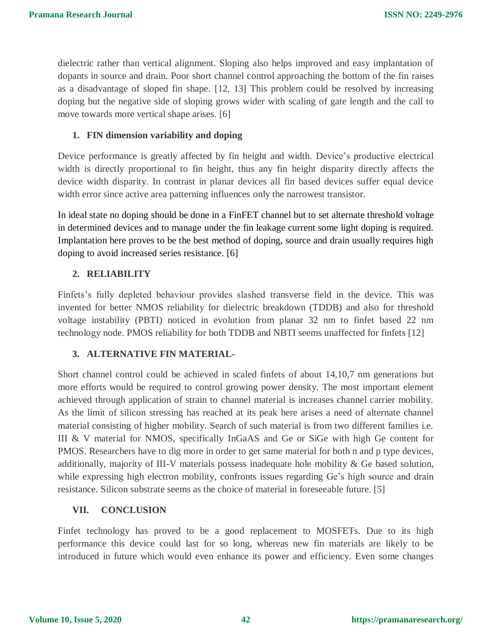dielectric rather than vertical alignment. Sloping also helps improved and easy implantation of dopants in source and drain. Poor short channel control approaching the bottom of the fin raises as a disadvantage of sloped fin shape. [12, 13] This problem could be resolved by increasing doping but the negative side of sloping grows wider with scaling of gate length and the call to move towards more vertical shape arises. [6]

### **1. FIN dimension variability and doping**

Device performance is greatly affected by fin height and width. Device's productive electrical width is directly proportional to fin height, thus any fin height disparity directly affects the device width disparity. In contrast in planar devices all fin based devices suffer equal device width error since active area patterning influences only the narrowest transistor.

In ideal state no doping should be done in a FinFET channel but to set alternate threshold voltage in determined devices and to manage under the fin leakage current some light doping is required. Implantation here proves to be the best method of doping, source and drain usually requires high doping to avoid increased series resistance. [6]

### **2. RELIABILITY**

Finfets's fully depleted behaviour provides slashed transverse field in the device. This was invented for better NMOS reliability for dielectric breakdown (TDDB) and also for threshold voltage instability (PBTI) noticed in evolution from planar 32 nm to finfet based 22 nm technology node. PMOS reliability for both TDDB and NBTI seems unaffected for finfets [12]

### **3. ALTERNATIVE FIN MATERIAL-**

Short channel control could be achieved in scaled finfets of about 14,10,7 nm generations but more efforts would be required to control growing power density. The most important element achieved through application of strain to channel material is increases channel carrier mobility. As the limit of silicon stressing has reached at its peak here arises a need of alternate channel material consisting of higher mobility. Search of such material is from two different families i.e. III & V material for NMOS, specifically InGaAS and Ge or SiGe with high Ge content for PMOS. Researchers have to dig more in order to get same material for both n and p type devices, additionally, majority of III-V materials possess inadequate hole mobility & Ge based solution, while expressing high electron mobility, confronts issues regarding Ge's high source and drain resistance. Silicon substrate seems as the choice of material in foreseeable future. [5]

### **VII. CONCLUSION**

Finfet technology has proved to be a good replacement to MOSFETs. Due to its high performance this device could last for so long, whereas new fin materials are likely to be introduced in future which would even enhance its power and efficiency. Even some changes